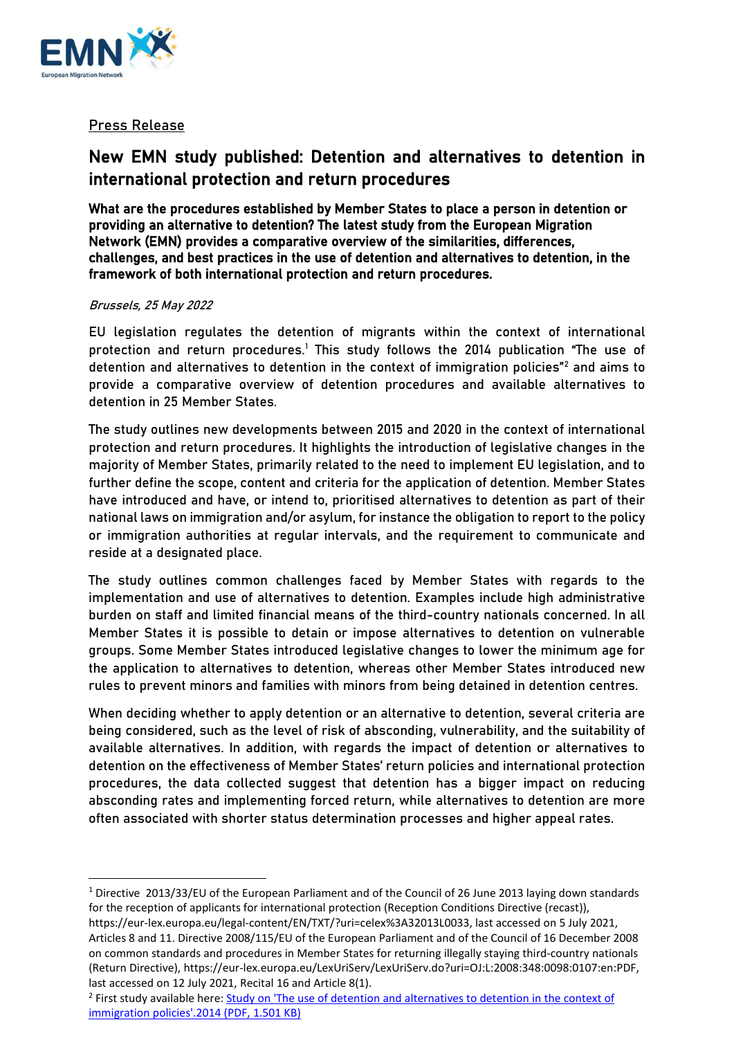

#### Press Release

# New EMN study published: Detention and alternatives to detention in international protection and return procedures

What are the procedures established by Member States to place a person in detention or providing an alternative to detention? The latest study from the European Migration Network (EMN) provides a comparative overview of the similarities, differences, challenges, and best practices in the use of detention and alternatives to detention, in the framework of both international protection and return procedures.

#### Brussels, 25 May 2022

EU legislation regulates the detention of migrants within the context of international protection and return procedures.<sup>[1](#page-0-0)</sup> This study follows the 2014 publication "The use of detention and alternatives to detention in the context of immigration policies"<sup>[2](#page-0-1)</sup> and aims to provide a comparative overview of detention procedures and available alternatives to detention in 25 Member States.

The study outlines new developments between 2015 and 2020 in the context of international protection and return procedures. It highlights the introduction of legislative changes in the majority of Member States, primarily related to the need to implement EU legislation, and to further define the scope, content and criteria for the application of detention. Member States have introduced and have, or intend to, prioritised alternatives to detention as part of their national laws on immigration and/or asylum, for instance the obligation to report to the policy or immigration authorities at regular intervals, and the requirement to communicate and reside at a designated place.

The study outlines common challenges faced by Member States with regards to the implementation and use of alternatives to detention. Examples include high administrative burden on staff and limited financial means of the third-country nationals concerned. In all Member States it is possible to detain or impose alternatives to detention on vulnerable groups. Some Member States introduced legislative changes to lower the minimum age for the application to alternatives to detention, whereas other Member States introduced new rules to prevent minors and families with minors from being detained in detention centres.

When deciding whether to apply detention or an alternative to detention, several criteria are being considered, such as the level of risk of absconding, vulnerability, and the suitability of available alternatives. In addition, with regards the impact of detention or alternatives to detention on the effectiveness of Member States' return policies and international protection procedures, the data collected suggest that detention has a bigger impact on reducing absconding rates and implementing forced return, while alternatives to detention are more often associated with shorter status determination processes and higher appeal rates.

<span id="page-0-0"></span> $1$  Directive 2013/33/EU of the European Parliament and of the Council of 26 June 2013 laying down standards for the reception of applicants for international protection (Reception Conditions Directive (recast)),

https://eur-lex.europa.eu/legal-content/EN/TXT/?uri=celex%3A32013L0033, last accessed on 5 July 2021, Articles 8 and 11. Directive 2008/115/EU of the European Parliament and of the Council of 16 December 2008 on common standards and procedures in Member States for returning illegally staying third-country nationals (Return Directive), https://eur-lex.europa.eu/LexUriServ/LexUriServ.do?uri=OJ:L:2008:348:0098:0107:en:PDF, last accessed on 12 July 2021, Recital 16 and Article 8(1).

<span id="page-0-1"></span><sup>&</sup>lt;sup>2</sup> First study available here: Study on 'The use of detention and alternatives to detention in the context of [immigration policies'.2014 \(PDF, 1.501 KB\)](https://ec.europa.eu/home-affairs/document/download/c3deadaf-480a-4dbe-8db4-f96e6a7407de_en)